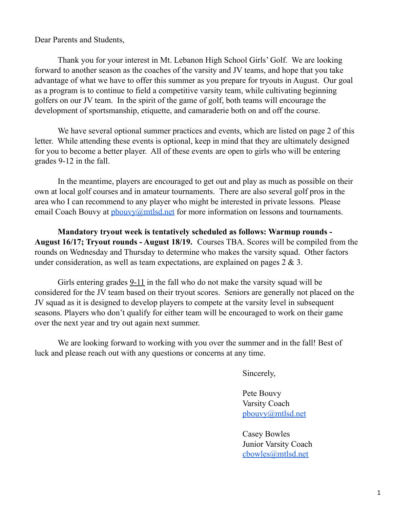# Dear Parents and Students,

Thank you for your interest in Mt. Lebanon High School Girls' Golf. We are looking forward to another season as the coaches of the varsity and JV teams, and hope that you take advantage of what we have to offer this summer as you prepare for tryouts in August. Our goal as a program is to continue to field a competitive varsity team, while cultivating beginning golfers on our JV team. In the spirit of the game of golf, both teams will encourage the development of sportsmanship, etiquette, and camaraderie both on and off the course.

We have several optional summer practices and events, which are listed on page 2 of this letter. While attending these events is optional, keep in mind that they are ultimately designed for you to become a better player. All of these events are open to girls who will be entering grades 9-12 in the fall.

In the meantime, players are encouraged to get out and play as much as possible on their own at local golf courses and in amateur tournaments. There are also several golf pros in the area who I can recommend to any player who might be interested in private lessons. Please email Coach Bouvy at  $\frac{p \cdot \partial}{p}$  bouvy  $\frac{p \cdot \partial}{p}$  for more information on lessons and tournaments.

**Mandatory tryout week is tentatively scheduled as follows: Warmup rounds - August 16/17; Tryout rounds - August 18/19.** Courses TBA. Scores will be compiled from the rounds on Wednesday and Thursday to determine who makes the varsity squad. Other factors under consideration, as well as team expectations, are explained on pages 2 & 3.

Girls entering grades 9-11 in the fall who do not make the varsity squad will be considered for the JV team based on their tryout scores. Seniors are generally not placed on the JV squad as it is designed to develop players to compete at the varsity level in subsequent seasons. Players who don't qualify for either team will be encouraged to work on their game over the next year and try out again next summer.

We are looking forward to working with you over the summer and in the fall! Best of luck and please reach out with any questions or concerns at any time.

Sincerely,

Pete Bouvy Varsity Coach [pbouvy@mtlsd.net](mailto:pbouvy@mtlsd.net)

Casey Bowles Junior Varsity Coach cbowles[@mtlsd.net](mailto:pbouvy@mtlsd.net)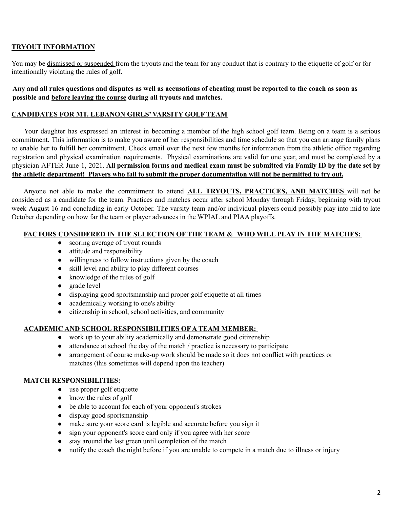## **TRYOUT INFORMATION**

You may be dismissed or suspended from the tryouts and the team for any conduct that is contrary to the etiquette of golf or for intentionally violating the rules of golf.

Any and all rules questions and disputes as well as accusations of cheating must be reported to the coach as soon as **possible and before leaving the course during all tryouts and matches.**

#### **CANDIDATES FOR MT. LEBANON GIRLS' VARSITY GOLF TEAM**

Your daughter has expressed an interest in becoming a member of the high school golf team. Being on a team is a serious commitment. This information is to make you aware of her responsibilities and time schedule so that you can arrange family plans to enable her to fulfill her commitment. Check email over the next few months for information from the athletic office regarding registration and physical examination requirements. Physical examinations are valid for one year, and must be completed by a physician AFTER June 1, 2021. All permission forms and medical exam must be submitted via Family ID by the date set by the athletic department! Players who fail to submit the proper documentation will not be permitted to try out.

Anyone not able to make the commitment to attend **ALL TRYOUTS, PRACTICES, AND MATCHES** will not be considered as a candidate for the team. Practices and matches occur after school Monday through Friday, beginning with tryout week August 16 and concluding in early October. The varsity team and/or individual players could possibly play into mid to late October depending on how far the team or player advances in the WPIAL and PIAA playoffs.

#### **FACTORS CONSIDERED IN THE SELECTION OF THE TEAM & WHO WILL PLAY IN THE MATCHES:**

- scoring average of tryout rounds
- attitude and responsibility
- willingness to follow instructions given by the coach
- skill level and ability to play different courses
- knowledge of the rules of golf
- grade level
- **●** displaying good sportsmanship and proper golf etiquette at all times
- **●** academically working to one's ability
- **●** citizenship in school, school activities, and community

## **ACADEMIC AND SCHOOL RESPONSIBILITIES OF A TEAM MEMBER:**

- work up to your ability academically and demonstrate good citizenship
- attendance at school the day of the match / practice is necessary to participate
- arrangement of course make-up work should be made so it does not conflict with practices or matches (this sometimes will depend upon the teacher)

## **MATCH RESPONSIBILITIES:**

- **●** use proper golf etiquette
- **●** know the rules of golf
- be able to account for each of your opponent's strokes
- display good sportsmanship
- make sure your score card is legible and accurate before you sign it
- sign your opponent's score card only if you agree with her score
- stay around the last green until completion of the match
- notify the coach the night before if you are unable to compete in a match due to illness or injury